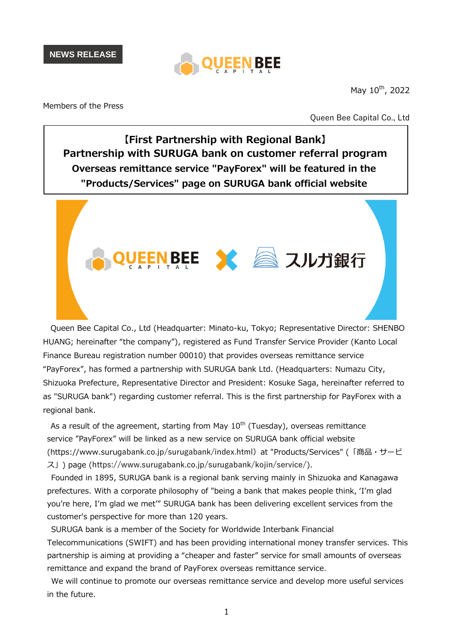

May  $10^{th}$ , 2022

Members of the Press

Queen Bee Capital Co., Ltd

**【First Partnership with Regional Bank】 Partnership with SURUGA bank on customer referral program Overseas remittance service "PayForex" will be featured in the "Products/Services" page on SURUGA bank official website**

EEN BEE X 2 スルガ銀行

Queen Bee Capital Co., Ltd (Headquarter: Minato-ku, Tokyo; Representative Director: SHENBO HUANG; hereinafter "the company"), registered as Fund Transfer Service Provider (Kanto Local Finance Bureau registration number 00010) that provides overseas remittance service "PayForex", has formed a partnership with SURUGA bank Ltd. (Headquarters: Numazu City, Shizuoka Prefecture, Representative Director and President: Kosuke Saga, hereinafter referred to as "SURUGA bank") regarding customer referral. This is the first partnership for PayForex with a regional bank.

As a result of the agreement, starting from May  $10<sup>th</sup>$  (Tuesday), overseas remittance service "PayForex" will be linked as a new service on SURUGA bank official website (https://www.surugabank.co.jp/surugabank/index.html)at "Products/Services" (「商品・サービ ス」) page (https://www.surugabank.co.jp/surugabank/kojin/service/).

Founded in 1895, SURUGA bank is a regional bank serving mainly in Shizuoka and Kanagawa prefectures. With a corporate philosophy of "being a bank that makes people think, 'I'm glad you're here, I'm glad we met'" SURUGA bank has been delivering excellent services from the customer's perspective for more than 120 years.

SURUGA bank is a member of the Society for Worldwide Interbank Financial Telecommunications (SWIFT) and has been providing international money transfer services. This partnership is aiming at providing a "cheaper and faster" service for small amounts of overseas remittance and expand the brand of PayForex overseas remittance service.

We will continue to promote our overseas remittance service and develop more useful services in the future.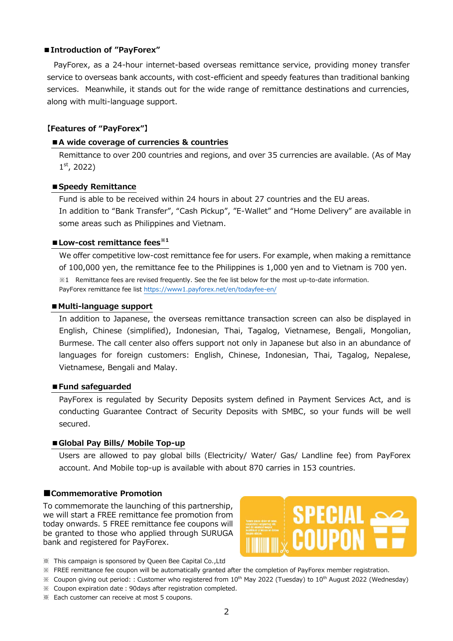## **■Introduction of "PayForex"**

PayForex, as a 24-hour internet-based overseas remittance service, providing money transfer service to overseas bank accounts, with cost-efficient and speedy features than traditional banking services. Meanwhile, it stands out for the wide range of remittance destinations and currencies, along with multi-language support.

# **【Features of "PayForex"】**

## **■A wide coverage of currencies & countries**

Remittance to over 200 countries and regions, and over 35 currencies are available. (As of May 1 st, 2022)

## **■Speedy Remittance**

Fund is able to be received within 24 hours in about 27 countries and the EU areas. In addition to "Bank Transfer", "Cash Pickup", "E-Wallet" and "Home Delivery" are available in some areas such as Philippines and Vietnam.

## **■Low-cost remittance fees※<sup>1</sup>**

We offer competitive low-cost remittance fee for users. For example, when making a remittance of 100,000 yen, the remittance fee to the Philippines is 1,000 yen and to Vietnam is 700 yen. ※1 Remittance fees are revised frequently. See the fee list below for the most up-to-date information. PayForex remittance fee list https://www1.payforex.net/en/todayfee-en/

## **■Multi-language support**

In addition to Japanese, the overseas remittance transaction screen can also be displayed in English, Chinese (simplified), Indonesian, Thai, Tagalog, Vietnamese, Bengali, Mongolian, Burmese. The call center also offers support not only in Japanese but also in an abundance of languages for foreign customers: English, Chinese, Indonesian, Thai, Tagalog, Nepalese, Vietnamese, Bengali and Malay.

#### **■Fund safeguarded**

PayForex is regulated by Security Deposits system defined in Payment Services Act, and is conducting Guarantee Contract of Security Deposits with SMBC, so your funds will be well secured.

#### **■Global Pay Bills/ Mobile Top-up**

Users are allowed to pay global bills (Electricity/ Water/ Gas/ Landline fee) from PayForex account. And Mobile top-up is available with about 870 carries in 153 countries.

## **■Commemorative Promotion**

To commemorate the launching of this partnership, we will start a FREE remittance fee promotion from today onwards. 5 FREE remittance fee coupons will be granted to those who applied through SURUGA bank and registered for PayForex.



- ※ This campaign is sponsored by Queen Bee Capital Co.,Ltd
- ※ FREE remittance fee coupon will be automatically granted after the completion of PayForex member registration.
- $\%$  Coupon giving out period:: Customer who registered from 10<sup>th</sup> May 2022 (Tuesday) to 10<sup>th</sup> August 2022 (Wednesday) ※ Coupon expiration date:90days after registration completed.
- ※ Each customer can receive at most 5 coupons.